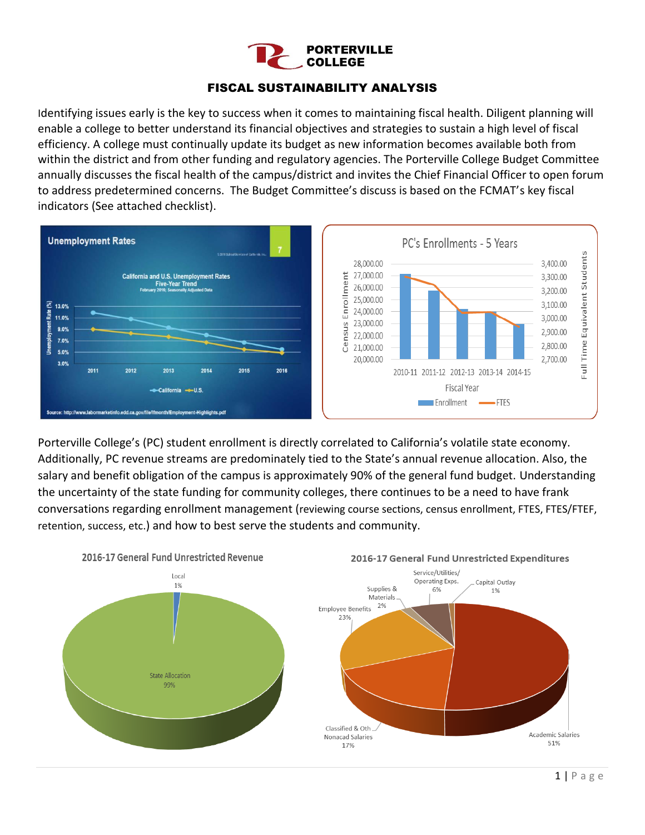

#### FISCAL SUSTAINABILITY ANALYSIS

Identifying issues early is the key to success when it comes to maintaining fiscal health. Diligent planning will enable a college to better understand its financial objectives and strategies to sustain a high level of fiscal efficiency. A college must continually update its budget as new information becomes available both from within the district and from other funding and regulatory agencies. The Porterville College Budget Committee annually discusses the fiscal health of the campus/district and invites the Chief Financial Officer to open forum to address predetermined concerns. The Budget Committee's discuss is based on the FCMAT's key fiscal indicators (See attached checklist).



Porterville College's (PC) student enrollment is directly correlated to California's volatile state economy. Additionally, PC revenue streams are predominately tied to the State's annual revenue allocation. Also, the salary and benefit obligation of the campus is approximately 90% of the general fund budget. Understanding the uncertainty of the state funding for community colleges, there continues to be a need to have frank conversations regarding enrollment management (reviewing course sections, census enrollment, FTES, FTES/FTEF, retention, success, etc.) and how to best serve the students and community.

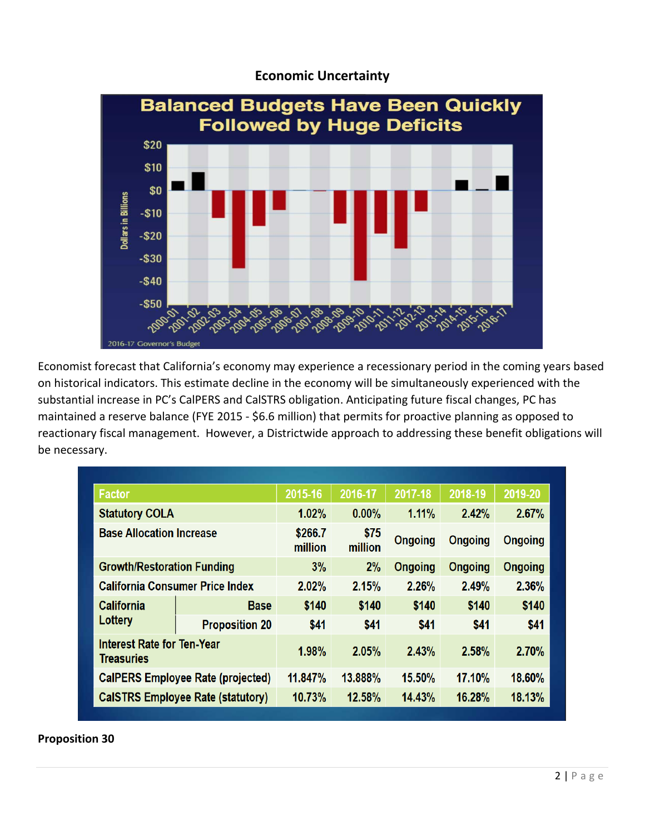

#### **Economic Uncertainty**

Economist forecast that California's economy may experience a recessionary period in the coming years based on historical indicators. This estimate decline in the economy will be simultaneously experienced with the substantial increase in PC's CalPERS and CalSTRS obligation. Anticipating future fiscal changes, PC has maintained a reserve balance (FYE 2015 - \$6.6 million) that permits for proactive planning as opposed to reactionary fiscal management. However, a Districtwide approach to addressing these benefit obligations will be necessary.

| <b>Factor</b>                                   |                       | 2015-16            | 2016-17         | 2017-18        | 2018-19        | 2019-20        |  |
|-------------------------------------------------|-----------------------|--------------------|-----------------|----------------|----------------|----------------|--|
| <b>Statutory COLA</b>                           |                       | 1.02%              | $0.00\%$        | 1.11%          | 2.42%          | 2.67%          |  |
| <b>Base Allocation Increase</b>                 |                       | \$266.7<br>million | \$75<br>million | <b>Ongoing</b> | <b>Ongoing</b> | <b>Ongoing</b> |  |
| <b>Growth/Restoration Funding</b>               |                       | 3%                 | 2%              | <b>Ongoing</b> | <b>Ongoing</b> | <b>Ongoing</b> |  |
| <b>California Consumer Price Index</b>          |                       | 2.02%              | 2.15%           | 2.26%          | 2.49%          | 2.36%          |  |
| <b>California</b><br>Lottery                    | <b>Base</b>           | \$140              | \$140           | \$140          | \$140          | \$140          |  |
|                                                 | <b>Proposition 20</b> | \$41               | \$41            | \$41           | \$41           | \$41           |  |
| <b>Interest Rate for Ten-Year</b><br>Treasuries |                       | 1.98%              | 2.05%           | 2.43%          | 2.58%          | 2.70%          |  |
| <b>CalPERS Employee Rate (projected)</b>        |                       | 11.847%            | 13.888%         | 15.50%         | 17.10%         | 18.60%         |  |
| <b>CalSTRS Employee Rate (statutory)</b>        |                       | 10.73%             | 12.58%          | 14.43%         | 16.28%         | 18.13%         |  |

**Proposition 30**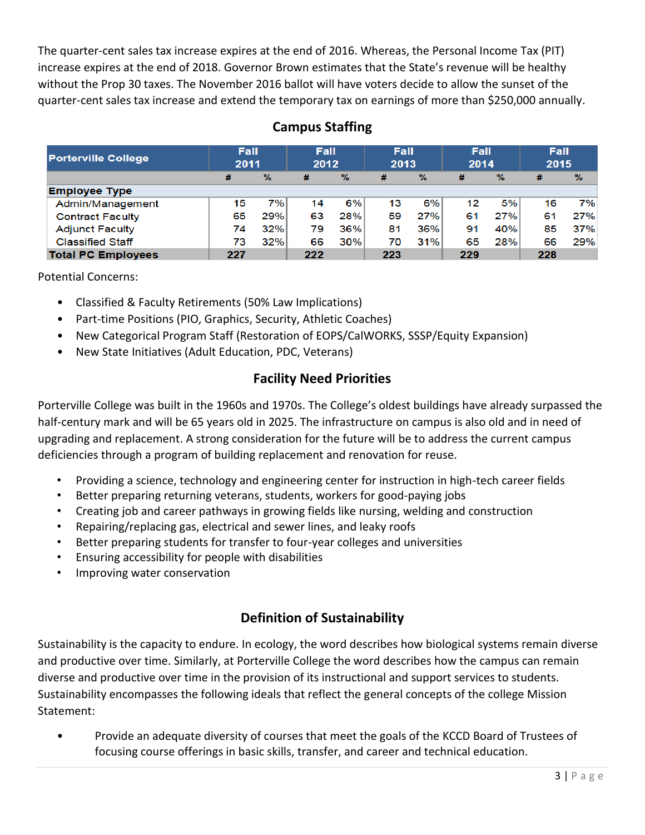The quarter-cent sales tax increase expires at the end of 2016. Whereas, the Personal Income Tax (PIT) increase expires at the end of 2018. Governor Brown estimates that the State's revenue will be healthy without the Prop 30 taxes. The November 2016 ballot will have voters decide to allow the sunset of the quarter-cent sales tax increase and extend the temporary tax on earnings of more than \$250,000 annually.

| <b>Porterville College</b> | <b>Fall</b><br>2011 |               | <b>Fall</b><br>2012 |               | Fall<br>2013 |               | Fall<br>2014 |               | Fall<br>2015 |               |
|----------------------------|---------------------|---------------|---------------------|---------------|--------------|---------------|--------------|---------------|--------------|---------------|
|                            | #                   | $\frac{9}{6}$ | #                   | $\frac{9}{6}$ | #            | $\frac{9}{6}$ | #            | $\frac{9}{6}$ | #            | $\frac{9}{6}$ |
| <b>Employee Type</b>       |                     |               |                     |               |              |               |              |               |              |               |
| Admin/Management           | 15                  | 7%            | 14                  | 6%            | 13           | 6%            | 12           | 5%            | 16           | 7%            |
| <b>Contract Faculty</b>    | 65                  | 29%           | 63                  | 28%           | 59           | 27%           | 61           | 27%           | 61           | 27%           |
| <b>Adjunct Faculty</b>     | 74                  | 32%           | 79                  | 36%           | 81           | 36%           | 91           | 40%           | 85           | 37%           |
| <b>Classified Staff</b>    | 73                  | 32%           | 66                  | 30%           | 70           | 31%           | 65           | 28%           | 66           | 29%           |
| <b>Total PC Employees</b>  | 227                 |               | 222                 |               | 223          |               | 229          |               | 228          |               |

# **Campus Staffing**

Potential Concerns:

- Classified & Faculty Retirements (50% Law Implications)
- Part-time Positions (PIO, Graphics, Security, Athletic Coaches)
- New Categorical Program Staff (Restoration of EOPS/CalWORKS, SSSP/Equity Expansion)
- New State Initiatives (Adult Education, PDC, Veterans)

## **Facility Need Priorities**

Porterville College was built in the 1960s and 1970s. The College's oldest buildings have already surpassed the half-century mark and will be 65 years old in 2025. The infrastructure on campus is also old and in need of upgrading and replacement. A strong consideration for the future will be to address the current campus deficiencies through a program of building replacement and renovation for reuse.

- Providing a science, technology and engineering center for instruction in high-tech career fields
- Better preparing returning veterans, students, workers for good-paying jobs
- Creating job and career pathways in growing fields like nursing, welding and construction
- Repairing/replacing gas, electrical and sewer lines, and leaky roofs
- Better preparing students for transfer to four-year colleges and universities
- Ensuring accessibility for people with disabilities
- Improving water conservation

## **Definition of Sustainability**

Sustainability is the capacity to endure. In ecology, the word describes how biological systems remain diverse and productive over time. Similarly, at Porterville College the word describes how the campus can remain diverse and productive over time in the provision of its instructional and support services to students. Sustainability encompasses the following ideals that reflect the general concepts of the college Mission Statement:

• Provide an adequate diversity of courses that meet the goals of the KCCD Board of Trustees of focusing course offerings in basic skills, transfer, and career and technical education.